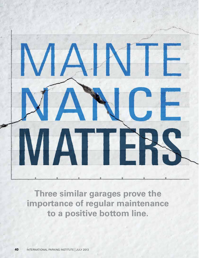

**Three similar garages prove the importance of regular maintenance to a positive bottom line.**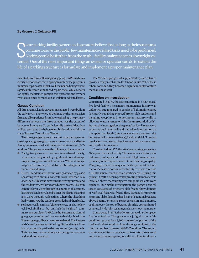# **By Gregory J. Neiderer, PE**

Ome parking facility owners and operators believe that as long as their structures<br>continue to serve the public, few maintenance-related tasks need to be performed.<br>Nothing could be further from the truth—facility maintena ome parking facility owners and operators believe that as long as their structures continue to serve the public, few maintenance-related tasks need to be performed. Nothing could be further from the truth—facility maintenance is downright eslife of a parking structure is formulate and implement a proper maintenance plan.

Case studies of three different parking garages in Pennsylvania clearly demonstrate that ongoing maintenance programs minimize repair costs. In fact, well-maintained garages have significantly lower annualized repair costs, while repairs for lightly-maintained garages cost operators and owners two to four times as much (on an inflation-adjusted basis).

## **Garage Condition**

All three Pennsylvania garages investigated were built in the early 1970s. They were all designed by the same design firm and all experienced similar weathering. The primary difference between the three garages was the extent of known maintenance. To easily identify the facilities, they will be referred to by their geographic location within the state: Eastern, Central, and Western.

The three garages feature the same structural systems: cast-in-place lightweight concrete, one-way slab and beam floor systems reinforced with unbonded post-tensioned (P/T) tendons. The garages share the following characteristics:

- The lightweight concrete has poor freeze-thaw durability, which is partially offset by significant floor drainage slopes throughout most floor areas. Where drainage slopes are minimal, the slabs exhibited significant freeze-thaw damage.
- The P/T tendons are 7-strand wire protected by plastic sheathing with minimal concrete cover (less than 3/16 of an inch). This was between the driving surface and the tendons where they crossed above beams. This thin concrete layer wore through in a number of locations, leaving the tendons vulnerable after the plastic sheathing also wore through. At locations where the sheathing had worn away, the tendons corroded and then broke.
- Perimeter walls consist of either concrete or clay hollow cell block similar to—but only half the height of—common concrete block (CMU). In the Eastern and Central garages, every other cell was grouted solid, while in the Western garage, all cells were grouted solid. The Eastern and Central garages sustained significant damage from having water trapped in the un-grouted (empty) cells. This was from water slowly saturating the concrete and tendons beneath it.

The Western garage had supplementary slab rebar to provide a safety mechanism for tendon failure. When these rebars corroded, they became a significant deterioration mechanism as well.

### **Condition on Investigation**

Constructed in 1973, the Eastern garage is a 420-space, five-level facility. The garage's maintenance history was unknown, but appeared to consist of light maintenance (primarily repairing exposed broken slab tendons and installing weep holes into perimeter masonry walls to alleviate water storage within the ungrounded cells). During the investigation, the garage's critical issues were extensive perimeter wall and slab edge deterioration on the upper two levels (due to water saturation from the perimeter walls' ungrouted cells), localized slab P/T tendon breakage above beams, chloride-contaminated concrete, and brittle joint sealants.

Constructed in 1972, the Western parking garage is a 300-space, four-level facility. The maintenance history was unknown, but appeared to consist of light maintenance (primarily removing loose concrete and patching of spalls). This garage received a unique vertical expansion down into the soil beneath a portion of the facility (to make room for a 10,000-square-foot bus/train waiting area). During this project, a traffic-bearing, waterproofing membrane was installed above the waiting area and joint sealants were replaced. During the investigation, the garage's critical issues consisted of extensive slab freeze-thaw damage at roof-level flat areas, freeze-thaw damage to numerous beam and slab edges, localized slab P/T tendon breakage above beams, extensive rebar corrosion and concrete spalling over the top of beams, chloride contaminated concrete, brittle joint sealants, and a worn-out membrane.

Constructed in 1973, the Central garage is a 490-space, five-level facility. This garage was judged to be in fair condition, except for a 5,500-square-foot portion of the roof level where minimal floor drainage exhibited a significant number of broken slab P/T tendons. The known maintenance history consisted of two sets of structural and waterproofing repairs, as well as architectural reno-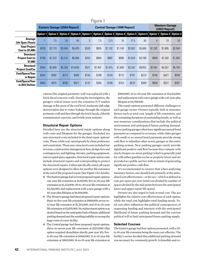| Figure 1                                                |                                     |         |         |                                                                                                                                              |                                     |         |         |         |         |         |                                        |         |         |
|---------------------------------------------------------|-------------------------------------|---------|---------|----------------------------------------------------------------------------------------------------------------------------------------------|-------------------------------------|---------|---------|---------|---------|---------|----------------------------------------|---------|---------|
|                                                         | <b>Eastern Garage (2004 Report)</b> |         |         |                                                                                                                                              | <b>Central Garage (1998 Report)</b> |         |         |         |         |         | <b>Western Garage</b><br>(2003 Report) |         |         |
|                                                         |                                     |         |         | Option 1   Option 2   Option 3   Option 4   Option 1   Option 2   Option 3   Option 4   Option 5   Option 6   Option 1   Option 2   Option 3 |                                     |         |         |         |         |         |                                        |         |         |
| Average<br>Life Span (Years)                            |                                     | 7.5     | 25      | 45                                                                                                                                           | 5                                   | 7.5     | 13.5    | 16      | 17.5    | 45      | $\overline{4}$                         | 10      | 20      |
| <b>Total Project</b><br>Cost in (\$1,000)               | \$228                               | \$2,179 | \$3,549 | \$9,429                                                                                                                                      | \$328                               | \$855   | \$1,102 | \$1,149 | \$2,002 | \$5,668 | \$1,392                                | \$1,895 | \$2,584 |
| <b>Structural</b><br><b>Project Cost (in</b><br>\$1,000 | \$139                               | \$1,223 | \$2,216 | \$6,506                                                                                                                                      | \$253                               | \$684   | \$882   | \$898   | \$1,624 | \$4,788 | \$899                                  | \$1.262 | \$1,855 |
| <b>Structural</b><br><b>Project Cost/Car</b>            | \$334                               | \$2,940 | \$5,329 | \$15,639                                                                                                                                     | \$521                               | \$1,407 | \$1,815 | \$1,848 | \$3,342 | \$9.852 | \$2.997                                | \$4,207 | \$6,183 |
| Cost/Space/Year<br>in Report                            | \$334                               | \$392   | \$213   | \$348                                                                                                                                        | \$104                               | \$188   | \$134   | \$115   | \$191   | \$219   | \$749                                  | \$421   | \$309   |
| Cost/Space/Year<br>in 2012 Dollars                      | \$405                               | \$475   | \$258   | \$421                                                                                                                                        | \$147                               | \$265   | \$190   | \$163   | \$270   | \$309   | \$939                                  | \$527   | \$387   |

vations (the original perimeter wall was replaced with a brick-faced concrete wall). During the investigation, the garage's critical issues were the extensive P/T tendon damage at flat areas of the roof level, moderate slab edge deterioration due to water leakage through the original perimeter wall and then through the brick façade, chloride contaminated concrete, and brittle joint sealants.

### **Structural Repair Options**

Detailed here are the structural repair options along with costs and lifespans for the garages. Excluded are non-structural costs included in the final repair options' costs. These, while real, varied greatly by client preference and constraints. These non-structural costs included lost revenue; construction management fees; design fees and contingencies; and lighting, elevator, parking equipment, and occupied space upgrades. Structural repair option costs include structural repairs and waterproofing to protect the structural repairs. Unless specifically noted, all repair options were designed to allow for another life extension at the end of the proposed repair (See Figure 1 for details).

- The Eastern garage had several proposed repair options: one-year life extension at \$139,000; five-to-10-year life extension at \$1,223,000; 20-to-30-year life extension at \$2,216,000; and replacement with a new garage with a 45-year-plus lifespan at \$6,506,000.
- The Western garage had these proposed repair options: three-to-five-year life extension at \$889,000; seven-to-12-year life extension at \$1,262,000; and 15-to-25-year life extension at \$1,855,000. No replacement option was desired based on the anticipated lack of future additional parking demand and the resulting inability to recoup the large costs of a new facility.
- The Central garage had these proposed repair options: three-to-seven-year life extension at \$253,000 (this option required demolition shortly past year 10); fiveto-10-year life extension at \$684,000; 12-to-15-year life extension at \$882,000; 14-to-19-year life extension at

\$898,000; 15-to-20-year life extension at \$1,624,000; and replacement with a new garage with a 45-year-plus lifespan at \$4,788,000.

The repair options presented different challenges to each garage owner. Owners typically look at monetary factors such as total cost, length of life extensions, and the remaining durations of outstanding bonds, as well as non-monetary considerations that include the political environment and anticipated future parking demand. Newer parking garages often have significant annual bond payments as compared to revenues, while older garages with small or no annual bond payments provide strong cash flow to subsidize other newer garages or the entire parking system. New parking garages rarely provide significant positive cash flow because they compete with much cheaper on-street parking (which is generally paid for with either gasoline excise or property taxes) and are provided as a public service with no intent of generating significant positive cash flow.

It's recommended to owners that when analyzing monetary factors, one should look primarily at the annualized cost effectiveness—or the ace—which is defined as cost-per-space per year (total cost divided by number of spaces divided by the mid-point between the anticipated lower and upper repair life spans).

Owners are also urged to look at total cost. The ace highlights the relative cost effectiveness of each option, while the total cost highlights total funding needs. Total cost often influences the political consequences of requesting funding and interacts with the anticipated likelihood of future parking demand and the current political will to fund anticipated future parking supply.

#### **Selected Courses**

The Eastern garage had four options presented, with a 20 to 30-year life extension being the most cost-effective. The facility's owner decided that additional parking demand was necessary for community growth. A demolish-and-re-